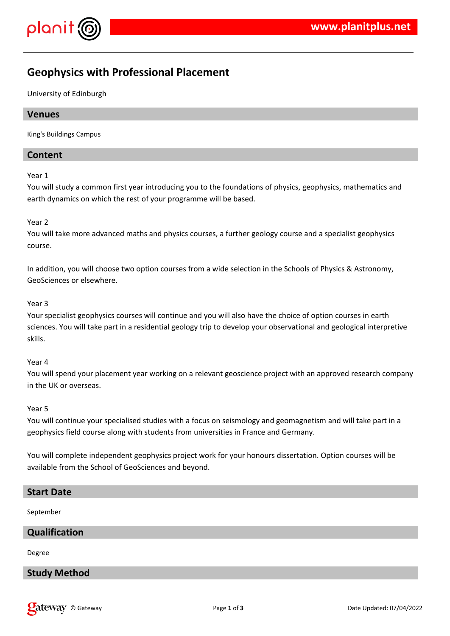

# **Geophysics with Professional Placement**

University of Edinburgh

### **Venues**

King's Buildings Campus

### **Content**

#### Year 1

You will study a common first year introducing you to the foundations of physics, geophysics, mathematics and earth dynamics on which the rest of your programme will be based.

#### Year 2

You will take more advanced maths and physics courses, a further geology course and a specialist geophysics course.

In addition, you will choose two option courses from a wide selection in the Schools of Physics & Astronomy, GeoSciences or elsewhere.

#### Year 3

Your specialist geophysics courses will continue and you will also have the choice of option courses in earth sciences. You will take part in a residential geology trip to develop your observational and geological interpretive skills.

#### Year 4

You will spend your placement year working on a relevant geoscience project with an approved research company in the UK or overseas.

#### Year 5

You will continue your specialised studies with a focus on seismology and geomagnetism and will take part in a geophysics field course along with students from universities in France and Germany.

You will complete independent geophysics project work for your honours dissertation. Option courses will be available from the School of GeoSciences and beyond.

### **Start Date**

September

### **Qualification**

Degree

### **Study Method**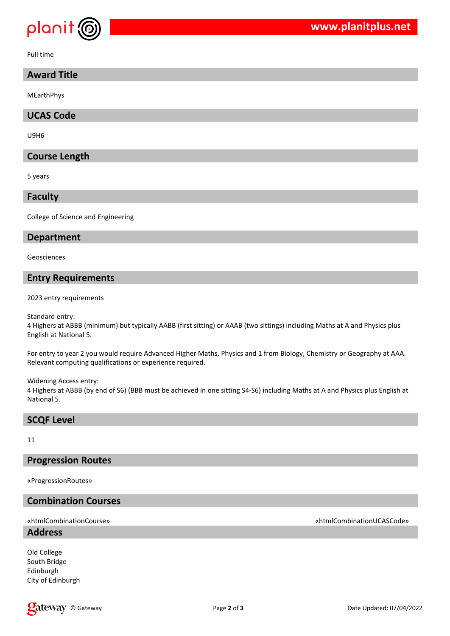

Full time

### **Award Title**

MEarthPhys

**UCAS Code**

U9H6

### **Course Length**

5 years

**Faculty**

College of Science and Engineering

#### **Department**

Geosciences

### **Entry Requirements**

2023 entry requirements

Standard entry:

4 Highers at ABBB (minimum) but typically AABB (first sitting) or AAAB (two sittings) including Maths at A and Physics plus English at National 5.

For entry to year 2 you would require Advanced Higher Maths, Physics and 1 from Biology, Chemistry or Geography at AAA. Relevant computing qualifications or experience required.

Widening Access entry:

4 Highers at ABBB (by end of S6) (BBB must be achieved in one sitting S4-S6) including Maths at A and Physics plus English at National 5.

### **SCQF Level**

11

#### **Progression Routes**

«ProgressionRoutes»

## **Combination Courses**

**Address**

Old College South Bridge Edinburgh City of Edinburgh

### «htmlCombinationCourse» «htmlCombinationUCASCode»